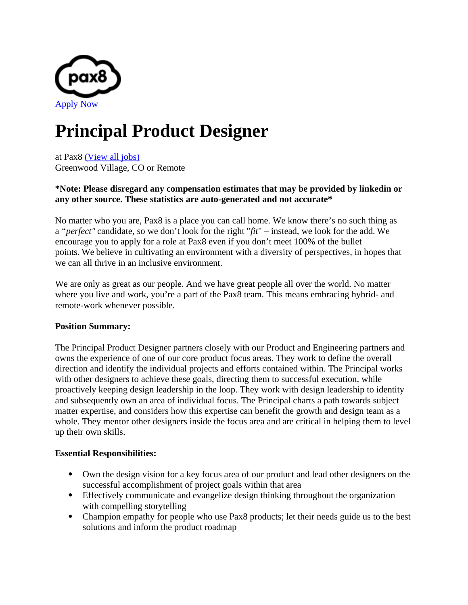

# **Principal Product Designer**

at Pax8 [\(View all jobs\)](https://boards.greenhouse.io/pax8) Greenwood Village, CO or Remote

## **\*Note: Please disregard any compensation estimates that may be provided by linkedin or any other source. These statistics are auto-generated and not accurate\***

No matter who you are, Pax8 is a place you can call home. We know there's no such thing as a *"perfect"* candidate, so we don't look for the right "*fit*" – instead, we look for the add. We encourage you to apply for a role at Pax8 even if you don't meet 100% of the bullet points. We believe in cultivating an environment with a diversity of perspectives, in hopes that we can all thrive in an inclusive environment.

We are only as great as our people. And we have great people all over the world. No matter where you live and work, you're a part of the Pax8 team. This means embracing hybrid- and remote-work whenever possible.

# **Position Summary:**

The Principal Product Designer partners closely with our Product and Engineering partners and owns the experience of one of our core product focus areas. They work to define the overall direction and identify the individual projects and efforts contained within. The Principal works with other designers to achieve these goals, directing them to successful execution, while proactively keeping design leadership in the loop. They work with design leadership to identity and subsequently own an area of individual focus. The Principal charts a path towards subject matter expertise, and considers how this expertise can benefit the growth and design team as a whole. They mentor other designers inside the focus area and are critical in helping them to level up their own skills.

### **Essential Responsibilities:**

- Own the design vision for a key focus area of our product and lead other designers on the successful accomplishment of project goals within that area
- Effectively communicate and evangelize design thinking throughout the organization with compelling storytelling
- Champion empathy for people who use Pax8 products; let their needs guide us to the best solutions and inform the product roadmap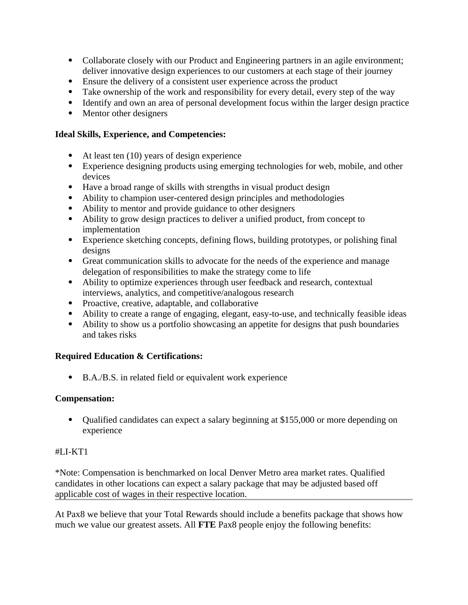- Collaborate closely with our Product and Engineering partners in an agile environment; deliver innovative design experiences to our customers at each stage of their journey
- Ensure the delivery of a consistent user experience across the product
- Take ownership of the work and responsibility for every detail, every step of the way
- Identify and own an area of personal development focus within the larger design practice
- Mentor other designers

## **Ideal Skills, Experience, and Competencies:**

- At least ten (10) years of design experience
- Experience designing products using emerging technologies for web, mobile, and other devices
- Have a broad range of skills with strengths in visual product design
- Ability to champion user-centered design principles and methodologies
- Ability to mentor and provide guidance to other designers
- Ability to grow design practices to deliver a unified product, from concept to implementation
- Experience sketching concepts, defining flows, building prototypes, or polishing final designs
- Great communication skills to advocate for the needs of the experience and manage delegation of responsibilities to make the strategy come to life
- Ability to optimize experiences through user feedback and research, contextual interviews, analytics, and competitive/analogous research
- Proactive, creative, adaptable, and collaborative
- Ability to create a range of engaging, elegant, easy-to-use, and technically feasible ideas
- Ability to show us a portfolio showcasing an appetite for designs that push boundaries and takes risks

# **Required Education & Certifications:**

B.A./B.S. in related field or equivalent work experience

### **Compensation:**

 Qualified candidates can expect a salary beginning at \$155,000 or more depending on experience

### #LI-KT1

\*Note: Compensation is benchmarked on local Denver Metro area market rates. Qualified candidates in other locations can expect a salary package that may be adjusted based off applicable cost of wages in their respective location.

At Pax8 we believe that your Total Rewards should include a benefits package that shows how much we value our greatest assets. All **FTE** Pax8 people enjoy the following benefits: